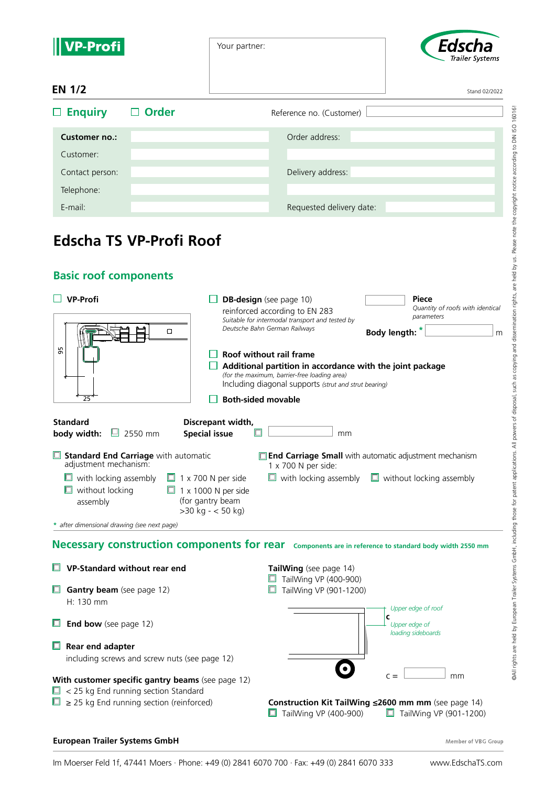| /P-Profi                                                                                                                                                                                                                                                                                              | Your partner:                                                                                                                                        |                                                                                                                                                                                                                                                                                                                                                                                                                                                                                                                                                                | Edscha<br>Trailer Systems                                                                                                                                                               |
|-------------------------------------------------------------------------------------------------------------------------------------------------------------------------------------------------------------------------------------------------------------------------------------------------------|------------------------------------------------------------------------------------------------------------------------------------------------------|----------------------------------------------------------------------------------------------------------------------------------------------------------------------------------------------------------------------------------------------------------------------------------------------------------------------------------------------------------------------------------------------------------------------------------------------------------------------------------------------------------------------------------------------------------------|-----------------------------------------------------------------------------------------------------------------------------------------------------------------------------------------|
| <b>EN 1/2</b>                                                                                                                                                                                                                                                                                         |                                                                                                                                                      |                                                                                                                                                                                                                                                                                                                                                                                                                                                                                                                                                                | Stand 02/2022                                                                                                                                                                           |
| <b>Enquiry</b>                                                                                                                                                                                                                                                                                        | <b>Order</b>                                                                                                                                         | Reference no. (Customer)                                                                                                                                                                                                                                                                                                                                                                                                                                                                                                                                       |                                                                                                                                                                                         |
| <b>Customer no.:</b><br>Customer:                                                                                                                                                                                                                                                                     |                                                                                                                                                      | Order address:                                                                                                                                                                                                                                                                                                                                                                                                                                                                                                                                                 |                                                                                                                                                                                         |
| Contact person:<br>Telephone:                                                                                                                                                                                                                                                                         |                                                                                                                                                      | Delivery address:                                                                                                                                                                                                                                                                                                                                                                                                                                                                                                                                              |                                                                                                                                                                                         |
| E-mail:                                                                                                                                                                                                                                                                                               |                                                                                                                                                      | Requested delivery date:                                                                                                                                                                                                                                                                                                                                                                                                                                                                                                                                       |                                                                                                                                                                                         |
| <b>Basic roof components</b><br><b>VP-Profi</b><br>95<br>25<br><b>Standard</b><br>body width:<br>$\Box$ 2550 mm<br>Standard End Carriage with automatic<br>adjustment mechanism:<br>$\Box$ with locking assembly<br>$\Box$ without locking<br>assembly<br>* after dimensional drawing (see next page) | O<br>Discrepant width,<br><b>Special issue</b><br>$\Box$ 1 x 700 N per side<br>$\Box$ 1 x 1000 N per side<br>(for gantry beam<br>$>30$ kg - < 50 kg) | <b>DB-design</b> (see page 10)<br>reinforced according to EN 283<br>Suitable for intermodal transport and tested by<br>Deutsche Bahn German Railways<br><b>Roof without rail frame</b><br>Additional partition in accordance with the joint package<br>(for the maximum, barrier-free loading area)<br>Including diagonal supports (strut and strut bearing)<br><b>Both-sided movable</b><br>mm<br>$\Box$ <b>End Carriage Small</b> with automatic adjustment mechanism<br>1 x 700 N per side:<br>$\Box$ with locking assembly $\Box$ without locking assembly | Piece<br>Quantity of roofs with identical<br>parameters<br>Body length: *<br>m<br>Necessary construction components for rear Components are in reference to standard body width 2550 mm |
|                                                                                                                                                                                                                                                                                                       |                                                                                                                                                      |                                                                                                                                                                                                                                                                                                                                                                                                                                                                                                                                                                |                                                                                                                                                                                         |
| VP-Standard without rear end<br>$\Box$<br><b>Gantry beam</b> (see page 12)<br>H: 130 mm                                                                                                                                                                                                               |                                                                                                                                                      | TailWing (see page 14)<br>TailWing VP (400-900)<br>TailWing VP (901-1200)                                                                                                                                                                                                                                                                                                                                                                                                                                                                                      |                                                                                                                                                                                         |
| <b>End bow</b> (see page 12)<br>ш                                                                                                                                                                                                                                                                     |                                                                                                                                                      |                                                                                                                                                                                                                                                                                                                                                                                                                                                                                                                                                                | Upper edge of roof<br>C<br>Upper edge of<br>loading sideboards                                                                                                                          |
| $\Box$ Rear end adapter<br>including screws and screw nuts (see page 12)                                                                                                                                                                                                                              |                                                                                                                                                      |                                                                                                                                                                                                                                                                                                                                                                                                                                                                                                                                                                |                                                                                                                                                                                         |
| With customer specific gantry beams (see page 12)<br>$\Box$ < 25 kg End running section Standard<br>$\Box$ $\geq$ 25 kg End running section (reinforced)                                                                                                                                              |                                                                                                                                                      |                                                                                                                                                                                                                                                                                                                                                                                                                                                                                                                                                                | mm<br>$C =$<br>Construction Kit TailWing ≤2600 mm mm (see page 14)                                                                                                                      |
|                                                                                                                                                                                                                                                                                                       |                                                                                                                                                      | $\Box$ TailWing VP (400-900)                                                                                                                                                                                                                                                                                                                                                                                                                                                                                                                                   | $\Box$ TailWing VP (901-1200)                                                                                                                                                           |

## **European Trailer Systems GmbH**

Member of VBG Group

©All rights are held by European Trailer Systems GmbH, including those for patent applications. All powers of disposal, such as copying and dissemination rights, are held by us. Please note the copyright notice according t

©All rights are held by European Trailer Systems GmbH, including those for patent applications. All powers of disposal, such as copying and dissemination rights, are held by us. Please note the copyright notice according t